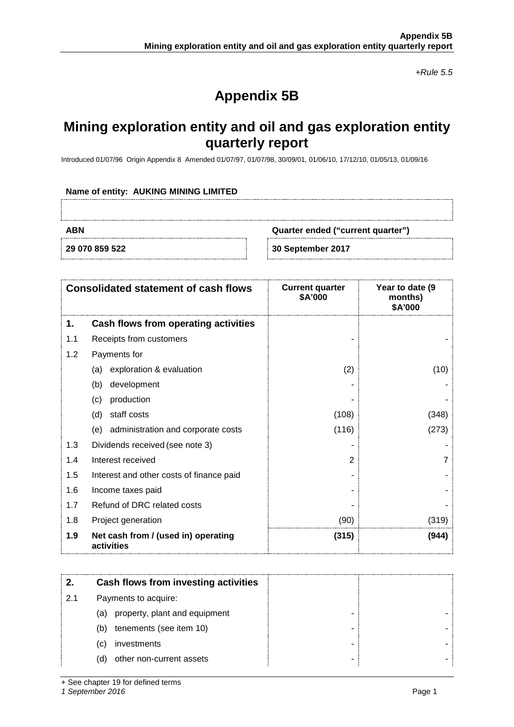*+Rule 5.5*

# **Appendix 5B**

## **Mining exploration entity and oil and gas exploration entity quarterly report**

Introduced 01/07/96 Origin Appendix 8 Amended 01/07/97, 01/07/98, 30/09/01, 01/06/10, 17/12/10, 01/05/13, 01/09/16

#### **Name of entity: AUKING MINING LIMITED**

**ABN Quarter ended ("current quarter")**

**29 070 859 522 30 September 2017**

| <b>Consolidated statement of cash flows</b> |                                                   | <b>Current quarter</b><br>\$A'000 | Year to date (9<br>months)<br>\$A'000 |  |
|---------------------------------------------|---------------------------------------------------|-----------------------------------|---------------------------------------|--|
| 1.                                          | Cash flows from operating activities              |                                   |                                       |  |
| 1.1                                         | Receipts from customers                           |                                   |                                       |  |
| 1.2                                         | Payments for                                      |                                   |                                       |  |
|                                             | exploration & evaluation<br>(a)                   | (2)                               | (10)                                  |  |
|                                             | development<br>(b)                                |                                   |                                       |  |
|                                             | production<br>(c)                                 |                                   |                                       |  |
|                                             | staff costs<br>(d)                                | (108)                             | (348)                                 |  |
|                                             | administration and corporate costs<br>(e)         | (116)                             | (273)                                 |  |
| 1.3                                         | Dividends received (see note 3)                   |                                   |                                       |  |
| 1.4                                         | Interest received                                 | 2                                 |                                       |  |
| 1.5                                         | Interest and other costs of finance paid          |                                   |                                       |  |
| 1.6                                         | Income taxes paid                                 |                                   |                                       |  |
| 1.7                                         | Refund of DRC related costs                       |                                   |                                       |  |
| 1.8                                         | Project generation                                | (90)                              | (319)                                 |  |
| 1.9                                         | Net cash from / (used in) operating<br>activities | (315)                             | (944)                                 |  |

|     | Cash flows from investing activities |
|-----|--------------------------------------|
| 2.1 | Payments to acquire:                 |
|     | property, plant and equipment<br>(a) |
|     | tenements (see item 10)<br>(b)       |
|     | investments<br>(C)                   |
|     | other non-current assets<br>(d)      |

+ See chapter 19 for defined terms

*1 September 2016* Page 1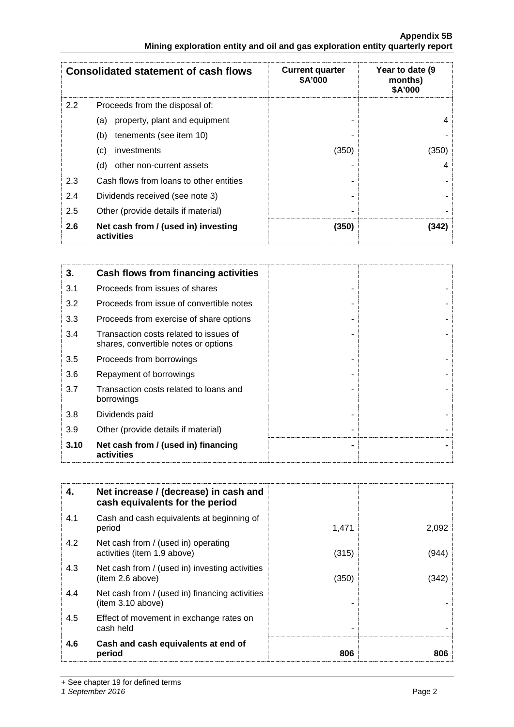#### **Appendix 5B Mining exploration entity and oil and gas exploration entity quarterly report**

|               | <b>Consolidated statement of cash flows</b>       | <b>Current quarter</b><br>\$A'000 | Year to date (9<br>months)<br>\$A'000 |
|---------------|---------------------------------------------------|-----------------------------------|---------------------------------------|
| $2.2^{\circ}$ | Proceeds from the disposal of:                    |                                   |                                       |
|               | property, plant and equipment<br>(a)              |                                   |                                       |
|               | (b)<br>tenements (see item 10)                    |                                   |                                       |
|               | investments<br>(C)                                | (350)                             | (350)                                 |
|               | other non-current assets<br>(d)                   |                                   |                                       |
| 2.3           | Cash flows from loans to other entities           |                                   |                                       |
| 2.4           | Dividends received (see note 3)                   |                                   |                                       |
| 2.5           | Other (provide details if material)               |                                   |                                       |
| 2.6           | Net cash from / (used in) investing<br>activities | (350)                             | 1342                                  |

| 3.   | Cash flows from financing activities                                           |  |
|------|--------------------------------------------------------------------------------|--|
| 3.1  | Proceeds from issues of shares                                                 |  |
| 3.2  | Proceeds from issue of convertible notes                                       |  |
| 3.3  | Proceeds from exercise of share options                                        |  |
| 3.4  | Transaction costs related to issues of<br>shares, convertible notes or options |  |
| 3.5  | Proceeds from borrowings                                                       |  |
| 3.6  | Repayment of borrowings                                                        |  |
| 3.7  | Transaction costs related to loans and<br>borrowings                           |  |
| 3.8  | Dividends paid                                                                 |  |
| 3.9  | Other (provide details if material)                                            |  |
| 3.10 | Net cash from / (used in) financing<br>activities                              |  |

| 4.  | Net increase / (decrease) in cash and<br>cash equivalents for the period |       |       |
|-----|--------------------------------------------------------------------------|-------|-------|
| 4.1 | Cash and cash equivalents at beginning of<br>period                      | 1,471 | 2,092 |
| 4.2 | Net cash from / (used in) operating<br>activities (item 1.9 above)       | (315) | '944  |
| 4.3 | Net cash from / (used in) investing activities<br>(item 2.6 above)       | (350) | 342   |
| 4.4 | Net cash from / (used in) financing activities<br>(item 3.10 above)      |       |       |
| 4.5 | Effect of movement in exchange rates on<br>cash held                     |       |       |
| 4.6 | Cash and cash equivalents at end of<br>period                            | 806   | 806   |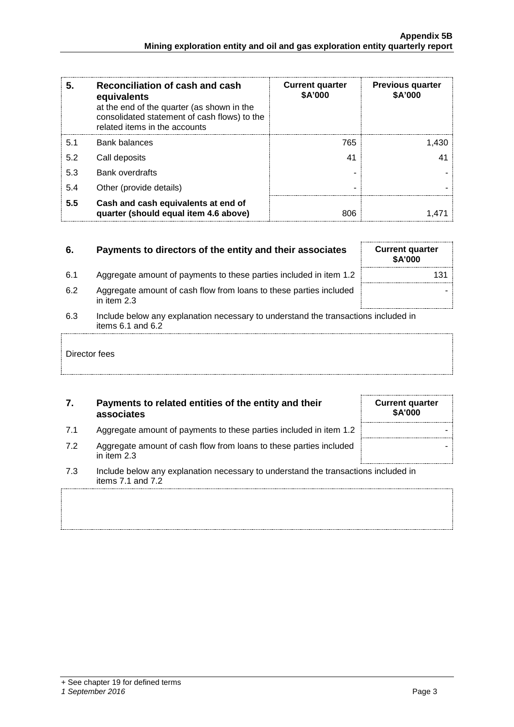| 5   | Reconciliation of cash and cash<br>equivalents<br>at the end of the quarter (as shown in the<br>consolidated statement of cash flows) to the<br>related items in the accounts | <b>Current quarter</b><br>\$A'000 | <b>Previous quarter</b><br>\$A'000 |
|-----|-------------------------------------------------------------------------------------------------------------------------------------------------------------------------------|-----------------------------------|------------------------------------|
| 5.1 | Bank balances                                                                                                                                                                 | 765                               |                                    |
| 5.2 | Call deposits                                                                                                                                                                 | 41                                |                                    |
| 5.3 | <b>Bank overdrafts</b>                                                                                                                                                        |                                   |                                    |
| 5.4 | Other (provide details)                                                                                                                                                       |                                   |                                    |
| 5.5 | Cash and cash equivalents at end of<br>quarter (should equal item 4.6 above)                                                                                                  | 806                               |                                    |

#### **6.** Payments to directors of the entity and their associates Current quarter

- 6.1 Aggregate amount of payments to these parties included in item 1.2
- 6.2 Aggregate amount of cash flow from loans to these parties included in item 2.3
- 6.3 Include below any explanation necessary to understand the transactions included in items  $6.1$  and  $6.2$

#### Director fees

### **7. Payments to related entities of the entity and their associates**

- 7.1 Aggregate amount of payments to these parties included in item 1.2
- 7.2 Aggregate amount of cash flow from loans to these parties included in item 2.3
- 7.3 Include below any explanation necessary to understand the transactions included in items 7.1 and 7.2

| \$A'000 |  |  |
|---------|--|--|
| 131     |  |  |
|         |  |  |
|         |  |  |

| <b>Current quarter</b><br>\$A'000 |  |
|-----------------------------------|--|
|                                   |  |
|                                   |  |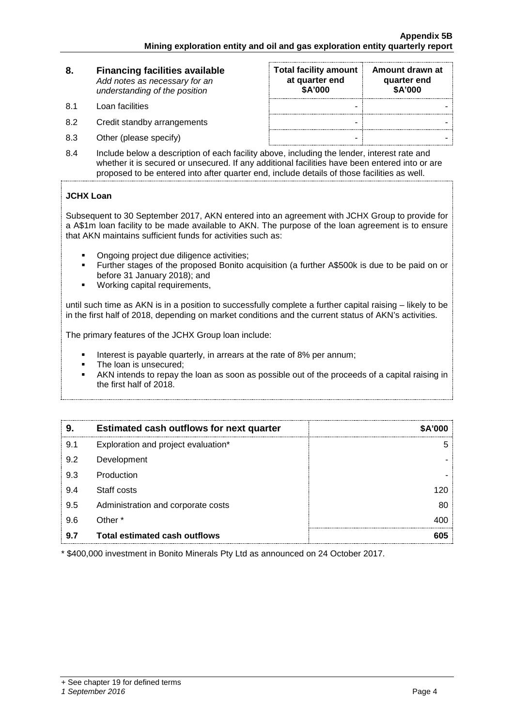#### **8. Financing facilities available** *Add notes as necessary for an understanding of the position*

- 8.1 Loan facilities
- 8.2 Credit standby arrangements
- 8.3 Other (please specify)

| <b>Total facility amount</b><br>at quarter end<br>\$A'000 | Amount drawn at<br>quarter end<br>\$A'000 |
|-----------------------------------------------------------|-------------------------------------------|
|                                                           |                                           |
|                                                           |                                           |
|                                                           |                                           |

8.4 Include below a description of each facility above, including the lender, interest rate and whether it is secured or unsecured. If any additional facilities have been entered into or are proposed to be entered into after quarter end, include details of those facilities as well.

### **JCHX Loan**

Subsequent to 30 September 2017, AKN entered into an agreement with JCHX Group to provide for a A\$1m loan facility to be made available to AKN. The purpose of the loan agreement is to ensure that AKN maintains sufficient funds for activities such as:

- Ongoing project due diligence activities;
- Further stages of the proposed Bonito acquisition (a further A\$500k is due to be paid on or before 31 January 2018); and
- Working capital requirements,

until such time as AKN is in a position to successfully complete a further capital raising – likely to be in the first half of 2018, depending on market conditions and the current status of AKN's activities.

The primary features of the JCHX Group loan include:

- Interest is payable quarterly, in arrears at the rate of 8% per annum;<br>
The loan is unsecured:
- The loan is unsecured;
- AKN intends to repay the loan as soon as possible out of the proceeds of a capital raising in the first half of 2018.

| 9   | <b>Estimated cash outflows for next quarter</b> | <b>SA'000</b> |
|-----|-------------------------------------------------|---------------|
| 9.1 | Exploration and project evaluation*             |               |
| 9.2 | Development                                     |               |
| 9.3 | Production                                      |               |
| 9.4 | Staff costs                                     | 120           |
| 9.5 | Administration and corporate costs              | 80            |
| 9.6 | Other *                                         |               |
| 9.7 | Total estimated cash outflows                   |               |

\* \$400,000 investment in Bonito Minerals Pty Ltd as announced on 24 October 2017.